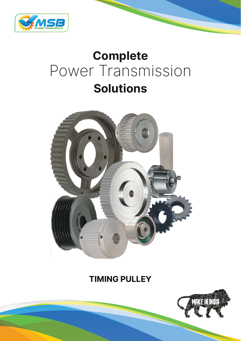

# **Complete** Power Transmission **Solutions**



# **TIMING PULLEY**

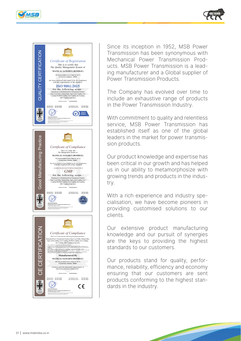





Since its inception in 1952, MSB Power Transmission has been synonymous with Mechanical Power Transmission Products. MSB Power Transmission is a leading manufacturer and a Global supplier of Power Transmission Products.

The Company has evolved over time to include an exhaustive range of products in the Power Transmission Industry.

With commitment to quality and relentless service, MSB Power Transmission has established itself as one of the global leaders in the market for power transmission products.

Our product knowledge and expertise has been critical in our growth and has helped us in our ability to metamorphosize with growing trends and products in the industry.

With a rich experience and industry specialisation, we have become pioneers in providing customised solutions to our clients.

Our extensive product manufacturing knowledge and our pursuit of synergies are the keys to providing the highest standards to our customers.

Our products stand for quality, performance, reliability, efficiency and economy ensuring that our customers are sent products conforming to the highest standards in the industry.

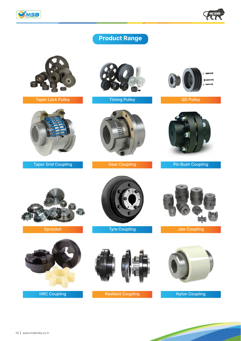



# **Product Range**



Taper Lock Pulley **Timing Pulley Container Strategies** Container Timing Pulley



Taper Grid Coupling Gear Coupling









Pin Bush Coupling



Sprocket





Tyre Coupling



Jaw Coupling



Nylon Coupling

and the contract of the contract of

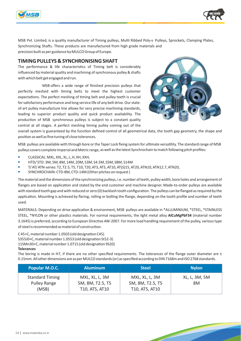



MSB Pvt. Limited, is a quality manufacturer of Timing pulleys, Multi Ribbed Poly-v Pulleys, Sprockets, Clamping Plates, Synchronizing Shafts. These products are manufactured from high grade materials and precision built as per guidance by MULCO Group of Europe.

#### **TIMING PULLEYS & SYNCHRONISING SHAFT**

The performance & life characteristics of Timing belt is considerably influenced by material quality and machining of synchronous pulley & shafts with which belt get engaged and run.

MSB offers a wide range of finished precision pulleys that perfectly meshed with timing belts to meet the highest customer expectations. The perfect meshing of timing belt and pulley teeth is crucial for satisfactory performance and long service life of any belt drive. Our stateof-art pulley manufacture line allows for very precise machining standards, leading to superior product quality and quick product availability. The production of MSB synchronous pulleys is subject to a constant quality control at all stages. A perfect meshing timing pulley coming out of the



overall system is guaranteed by the function defined control of all geometrical data, the tooth gap geometry, the shape and position as well as fine tuning of close tolerances.

MSB pulleys are available with through bore or the Taper Lock fixing system for ultimate versatility. The standard range of MSB pulleys covers complete Imperial and Metric range, as well as the latest Synchrochain to match following pitch profiles:

- CLASSICAL: MXL, XXL, XL, L, H, XH, XXH, **•**
- HTD/ STD: 3M, 5M, 8M, 14M, 20M, S3M, S4.5M, S5M, S8M, S14M **•**
- T/ AT/ ATN-series: T2, T2.5, T5, T10, T20, AT3, AT5, AT10, AT(S)15, AT20, ATN10, ATN12.7, ATN20, **•**
- SYNCHROCHAIN: CTD-8M, CTD-14M (Other pitches on request ) **•**

The material and the dimensions of the synchronizing pulleys, i.e. number of teeth, pulley width, bore holes and arrangement of flanges are based on application and stated by the end customer and machine designer. Made-to-order pulleys are available with standard tooth gap and with reduced or zero (0) backlash tooth configuration. The pulleys can be flanged as required by the application. Mounting is achieved by flaring, rolling or bolting the flange, depending on the tooth profile and number of teeth used.

MATERIALS: Depending on drive application & environment, MSB pulleys are available in \*ALLUMINIUM, \*STEEL, \*STAINLESS STEEL, \*NYLON or other plastics materials. For normal requirements, the light metal alloy **AlCuMgPbF34** (material number 3.1645) is preferred, according to European Directive AW-2007. For more load handling requirement of the pulley, various type of steel is recommended as material of construction.

C 45+C, material number 1.0503 (old designation C45) S355J0+C, material number 1.0553 (old designation St52-3) 11SMn30+C, material number 1.0715 (old designation 9S20) **Tolerances**

The boring is made in H7, if there are no other specified requirements. The tolerances of the flange outer diameter are  $\pm$ 0.15mm. All other dimensions are as per MULCO standards (or) as specified according to DIN 7168m and ISO 2768 standards.

| Popular M.O.C.                                  | <b>Aluminum</b>                                      | <b>Steel</b>                                         | <b>Nylon</b>        |
|-------------------------------------------------|------------------------------------------------------|------------------------------------------------------|---------------------|
| <b>Standard Timing</b><br>Pulley Range<br>(MSB) | MXL, XL, L, 3M<br>5M, 8M, T2.5, T5<br>T10, AT5, AT10 | MXL, XL, L, 3M<br>5M, 8M, T2.5, T5<br>T10, AT5, AT10 | XL, L, 3M, 5M<br>8M |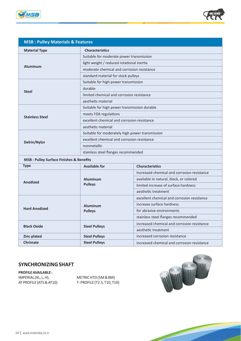



| <b>MSB: Pulley Materials &amp; Features</b>        |                                                 |                                             |  |
|----------------------------------------------------|-------------------------------------------------|---------------------------------------------|--|
| <b>Material Type</b>                               | <b>Characteristics</b>                          |                                             |  |
|                                                    | Suitable for moderate power transmission        |                                             |  |
|                                                    | light weight / reduced rotational inertia       |                                             |  |
| <b>Aluminum</b>                                    | moderate chemical and corrosion resistance      |                                             |  |
|                                                    | standard material for stock pulleys             |                                             |  |
|                                                    | Suitable for high power transmission            |                                             |  |
| <b>Steel</b>                                       | durable                                         |                                             |  |
|                                                    | limited chemical and corrosion resistance       |                                             |  |
|                                                    | aesthetic material                              |                                             |  |
|                                                    | Suitable for high power transmission durable    |                                             |  |
| <b>Stainless Steel</b>                             | meets FDA regulations                           |                                             |  |
|                                                    | excellent chemical and corrosion resistance     |                                             |  |
|                                                    | aesthetic material                              |                                             |  |
|                                                    | Suitable for moderately high power transmission |                                             |  |
| Delrin/Nylor                                       | excellent chemical and corrosion resistance     |                                             |  |
|                                                    | nonmetallic                                     |                                             |  |
|                                                    | stainless steel flanges recommended             |                                             |  |
| <b>MSB: Pulley Surface Finishes &amp; Benefits</b> |                                                 |                                             |  |
| <b>Type</b>                                        | <b>Available for</b>                            | <b>Characteristics</b>                      |  |
|                                                    | <b>Aluminum</b>                                 | Increased chemical and corrosion resistance |  |
| <b>Anodized</b>                                    |                                                 | available in natural, black, or colored     |  |
|                                                    | <b>Pulleys</b>                                  | limited increase of surface hardness        |  |
|                                                    |                                                 | aesthetic treatment                         |  |
|                                                    |                                                 | excellent chemical and corrosion resistance |  |
|                                                    | <b>Aluminum</b><br><b>Pulleys</b>               | increase surface hardness                   |  |
| <b>Hard Anodized</b>                               |                                                 | for abrasive environments                   |  |
|                                                    |                                                 | stainless steel flanges recommended         |  |

## **SYNCHRONIZING SHAFT**

**Black Oxide Steel Pulleys** 

**PROFILE AVAILABLE :**  IMPERIAL (XL, L, H), METRIC HTD (5M & 8M)

AT PROFILE (AT5 & AT10) T- PROFILE (T2.5, T10, T10)

**Zinc plated Steel Pulleys** increased corrosion resistance

**Chrimate Steel Pulleys increased chemical and corrosion resistance** 



and the second contract of the contract of

increased chemical and corrosion resistance

aesthetic treatment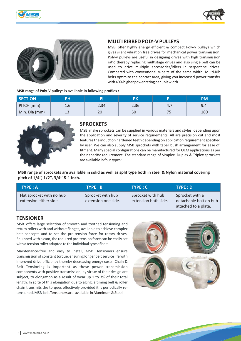





## **MULTI RIBBED POLY-V PULLEYS**

**MSB** offer highly energy efficient & compact Poly-v pulleys which gives silent vibration free drives for mechanical power transmission. Poly-v pulleys are useful in designing drives with high transmission ratio thereby replacing multistage drives and also single belt can be used to drive multiple accessories/idlers in serpentine drives. Compared with conventional V-belts of the same width, Multi-Rib belts optimize the contact area, giving you increased power transfer with 40% higher power rating per unit width.

#### **MSB range of Poly-V pulleys is available in following profiles :-**

| <b>SECTION</b> | PH  |      | PK   | PL  | PM  |
|----------------|-----|------|------|-----|-----|
| PITCH (mm)     | 1.6 | 2.34 | 2.36 | 4.7 | 9.4 |
| Min. Dia (mm)  | 13  | 20   | 50   | כ ו | 180 |



#### **SPROCKETS**

MSB make sprockets can be supplied in various materials and styles, depending upon the application and severity of service requirements. All are precision cut and most features the induction hardened teeth depending on application requirement specified by user. We can also supply MSB sprockets with taper bush arrangement for ease of fitment. Many special configurations can be manufactured for OEM applications as per their specific requirement. The standard range of Simplex, Duplex & Triplex sprockets are available in four types:

**MSB range of sprockets are available in solid as well as split type both in steel & Nylon material covering pitch of 1/4'', 1/2'', 3/4'' & 1 Inch.**

| TYPE : A                                           | $TYPE : B$                               | TYPE: C                                   | TYPE : D                                                          |
|----------------------------------------------------|------------------------------------------|-------------------------------------------|-------------------------------------------------------------------|
| Flat sprocket with no hub<br>extension either side | Sprocket with hub<br>extension one side. | Sprocket with hub<br>extension both side. | Sprocket with a<br>detachable bolt on hub<br>attached to a plate. |

## **TENSIONER**

MSB offers large selection of smooth and toothed tensioning and return rollers with and without flanges, available to achieve complex belt concepts and to set the pre-tension force for rotary drives. Equipped with a cam, the required pre-tension force can be easily set with a tension roller adapted to the individual type of belt.

Maintenance-free and easy to install, MSB Tensioners ensure transmission of constant torque, ensuring longer belt service life with improved drive efficiency thereby decreasing energy costs. Chain & Belt Tensioning is important as these power transmission components with positive transmission, by virtue of their design are subject, to elongation as a result of wear up 1 to 3% of their total length. In spite of this elongation due to aging, a timing belt & roller chain transmits the torques effectively provided it is periodically retensioned. MSB belt Tensioners are available in Aluminum & Steel.

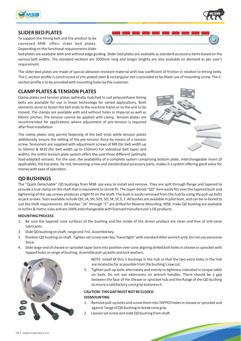

#### **SLIDER BED PLATES**

To support the timing belt and the product to be conveyed MSB offers slider bed plates. Depending on the functional requirements slider

bed plates are available with and without edge guiding. Slider bed plates are available as standard accessory items based on the various belt widths. The standard sections are 2000mm long and longer lengths are also available on demand as per user's requirement.

The slider bed plates are made of special abrasion resistant material with low coefficient of friction in relation to timing belts. The C-section profile is constructed of zinc plated steel & rectangular slot is provided to facilitate use of mounting screw. The Csection profile is to be provided with mounting holes by the customer.

#### **CLAMP PLATES & TENSION PLATES**

Clamp plates and tension plates optimally matched to suit polyurethane timing belts are available for use in linear technology for varied applications. Both elements serve to fasten the belt ends to the machine frame or to the unit to be moved. The clamps are available with and without holes in Imperial as well as Metric pitches. Pre tension cannot be applied with clamp. Tension plates are recommended for applications where adjustment of pre-tension is required after final installation.

The clamp plates only permit fastening of the belt ends while tension plates additionally ensure the setting of the pre-tension force by means of a tension screw. Tensioners are supplied with adjustment screws of M8 (for belt width up to 50mm) & M10 (for belt width up to 150mm) For individual belt types and widths, the entire tension plate system offers the user three different optimally



load-adapted variants. For the user, the availability of a complete system comprising bottom plate, interchangeable insert (if applicable), the top plate, tie rod, tensioning screw and standardized accessory parts, makes it a system offering good value for money with ease of operation.

## **QD BUSHINGS**

The "Quick Detachable" QD bushings from MSB are easy to install and remove. They are split through flange and tapered to provide a true clamp on the shaft that is equivalent to shrink fit. The taper-bored "QD" item easily fits over the tapered bush and tightening of the cap screws produces a tight fit on the shaft. The bush is easily removed from the hub by using the pull-up bolts as jack screws. Sizes available include QH, JA, SH, SDS, SD, SK, SF, E, F. All bushes are available in pilot bore, and can be re-bored to suit the shaft requirements. All bushes "JA" through "F" are drilled for Reverse Mounting. MSB make QD bushing are available in inches & metric sizes and are 100% interchangeable with licensed manufacturer's OE products.

#### **MOUNTING PROCESS**

- 1. Be sure the tapered cone surfaces of the bushing and the inside of the driven product are clean and free of an�-seize lubricants.
- 2. Slide QD bushing on shaft, range end ?rst. Assemble key.
- 3. Position QD bushing on shaft. Tighten set screw over key "hand tight" with standard Allen wrench only. Do not use excessive force.
- 4. Slide large end of sheave or sprocket taper bore into position over cone aligning drilled bolt holes in sheave or sprocket with tapped holes in range of bushing. Assemble pull-up bolts and lock washers.



NOTE: Install M thru S bushings in the hub so that the two extra holes in the hub are located as far as possible from the bushing's saw cut.

5. Tighten pull-up bolts alternately and evenly to tightness indicated in torque table on back. Do not use extensions on wrench handles. There should be a gap between the face of the sheave or sprocket hub and the Range of the QD bushing to insure a satisfactory cone grip and press it.

#### **CAUTION: THIS GAP MUST NOT BE CLOSED. DISMOUNTING**

- 1. Remove pull-up bolts and screw them into TAPPED holes in sheave or sprocket and against ?ange of QD bushing to break cone grip.
- 2. Loosen set screw and slide QD bushing from shaft.